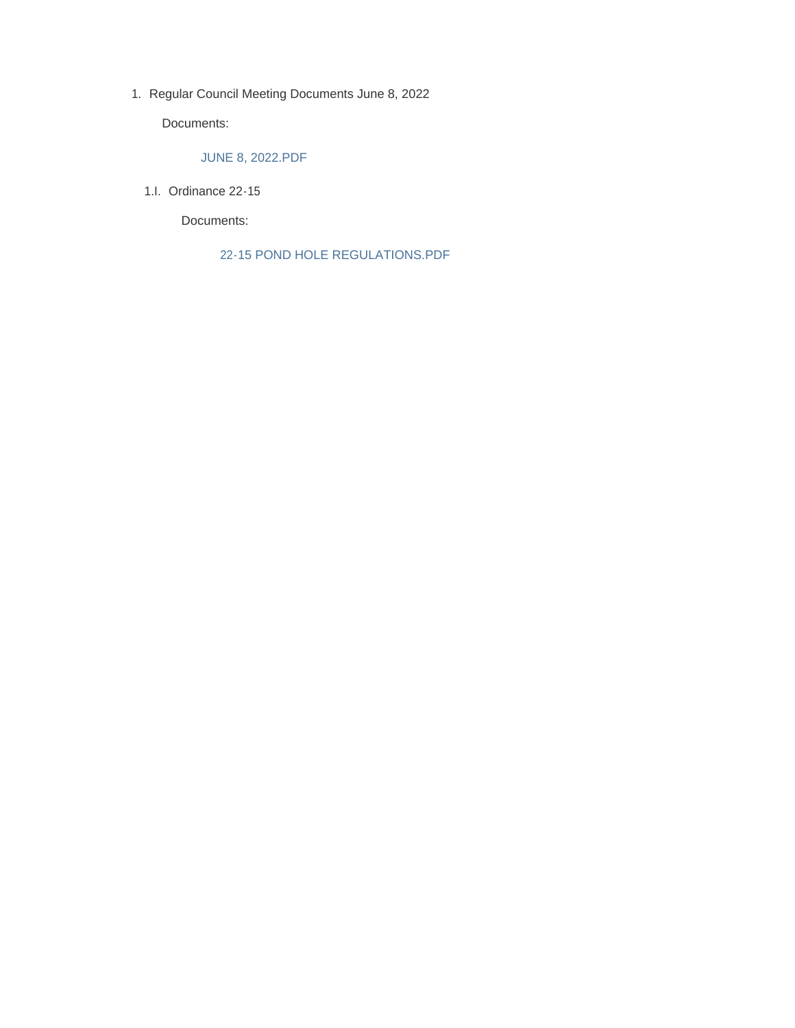1. Regular Council Meeting Documents June 8, 2022

Documents:

### JUNE 8, 2022.PDF

1.I. Ordinance 22-15

Documents:

22-15 POND HOLE REGULATIONS.PDF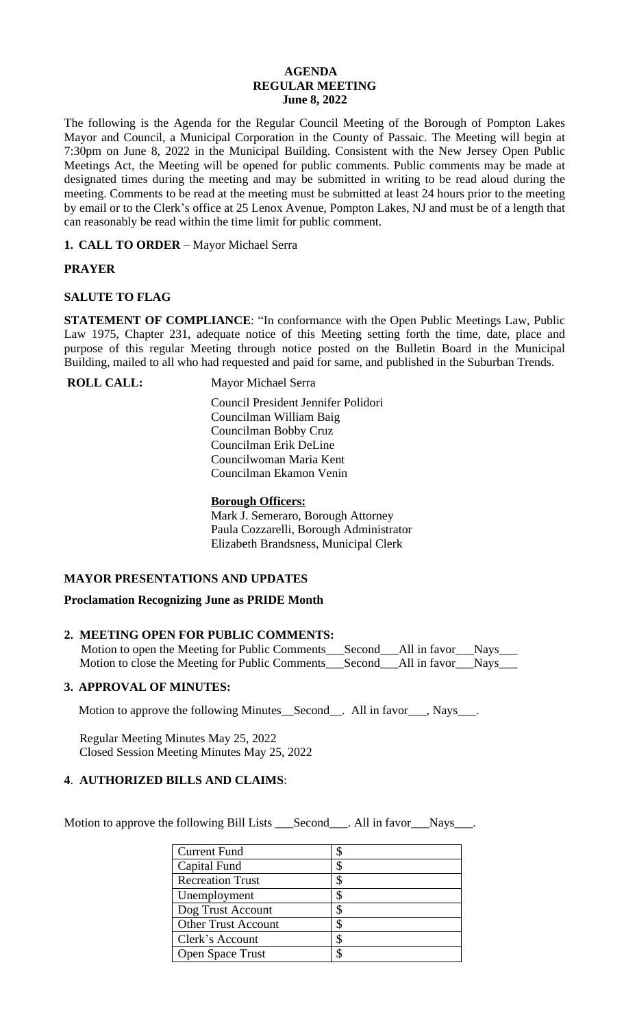### **AGENDA REGULAR MEETING June 8, 2022**

The following is the Agenda for the Regular Council Meeting of the Borough of Pompton Lakes Mayor and Council, a Municipal Corporation in the County of Passaic. The Meeting will begin at 7:30pm on June 8, 2022 in the Municipal Building. Consistent with the New Jersey Open Public Meetings Act, the Meeting will be opened for public comments. Public comments may be made at designated times during the meeting and may be submitted in writing to be read aloud during the meeting. Comments to be read at the meeting must be submitted at least 24 hours prior to the meeting by email or to the Clerk's office at 25 Lenox Avenue, Pompton Lakes, NJ and must be of a length that can reasonably be read within the time limit for public comment.

**1. CALL TO ORDER** – Mayor Michael Serra

# **PRAYER**

# **SALUTE TO FLAG**

**STATEMENT OF COMPLIANCE**: "In conformance with the Open Public Meetings Law, Public Law 1975, Chapter 231, adequate notice of this Meeting setting forth the time, date, place and purpose of this regular Meeting through notice posted on the Bulletin Board in the Municipal Building, mailed to all who had requested and paid for same, and published in the Suburban Trends.

**ROLL CALL:** Mayor Michael Serra

 Council President Jennifer Polidori Councilman William Baig Councilman Bobby Cruz Councilman Erik DeLine Councilwoman Maria Kent Councilman Ekamon Venin

# **Borough Officers:**

Mark J. Semeraro, Borough Attorney Paula Cozzarelli, Borough Administrator Elizabeth Brandsness, Municipal Clerk

# **MAYOR PRESENTATIONS AND UPDATES**

# **Proclamation Recognizing June as PRIDE Month**

# **2. MEETING OPEN FOR PUBLIC COMMENTS:**

Motion to open the Meeting for Public Comments\_\_\_Second\_\_\_All in favor\_\_\_Nays\_\_\_ Motion to close the Meeting for Public Comments\_\_\_Second\_\_\_All in favor\_\_\_Nays\_\_\_

# **3. APPROVAL OF MINUTES:**

Motion to approve the following Minutes\_Second\_\_. All in favor\_\_\_, Nays\_\_\_.

 Regular Meeting Minutes May 25, 2022 Closed Session Meeting Minutes May 25, 2022

# **4**. **AUTHORIZED BILLS AND CLAIMS**:

Motion to approve the following Bill Lists \_\_\_Second\_\_\_. All in favor\_\_\_Nays\_\_\_.

| <b>Current Fund</b>        |  |
|----------------------------|--|
| Capital Fund               |  |
| <b>Recreation Trust</b>    |  |
| Unemployment               |  |
| Dog Trust Account          |  |
| <b>Other Trust Account</b> |  |
| Clerk's Account            |  |
| Open Space Trust           |  |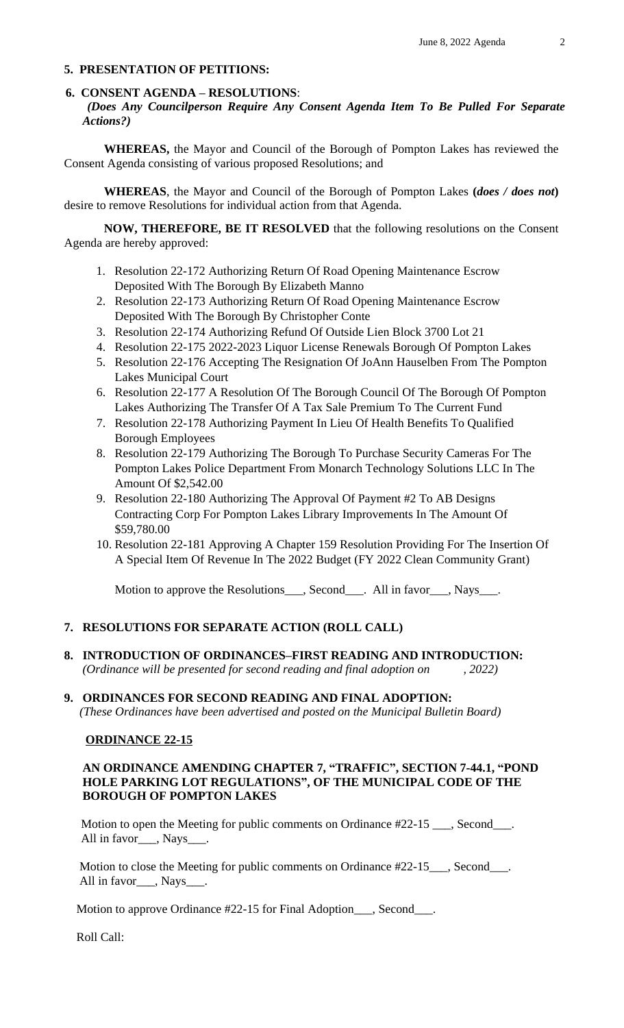#### **5. PRESENTATION OF PETITIONS:**

#### **6. CONSENT AGENDA – RESOLUTIONS**:

*(Does Any Councilperson Require Any Consent Agenda Item To Be Pulled For Separate Actions?)*

**WHEREAS,** the Mayor and Council of the Borough of Pompton Lakes has reviewed the Consent Agenda consisting of various proposed Resolutions; and

**WHEREAS**, the Mayor and Council of the Borough of Pompton Lakes **(***does / does not***)** desire to remove Resolutions for individual action from that Agenda.

**NOW, THEREFORE, BE IT RESOLVED** that the following resolutions on the Consent Agenda are hereby approved:

- 1. Resolution 22-172 Authorizing Return Of Road Opening Maintenance Escrow Deposited With The Borough By Elizabeth Manno
- 2. Resolution 22-173 Authorizing Return Of Road Opening Maintenance Escrow Deposited With The Borough By Christopher Conte
- 3. Resolution 22-174 Authorizing Refund Of Outside Lien Block 3700 Lot 21
- 4. Resolution 22-175 2022-2023 Liquor License Renewals Borough Of Pompton Lakes
- 5. Resolution 22-176 Accepting The Resignation Of JoAnn Hauselben From The Pompton Lakes Municipal Court
- 6. Resolution 22-177 A Resolution Of The Borough Council Of The Borough Of Pompton Lakes Authorizing The Transfer Of A Tax Sale Premium To The Current Fund
- 7. Resolution 22-178 Authorizing Payment In Lieu Of Health Benefits To Qualified Borough Employees
- 8. Resolution 22-179 Authorizing The Borough To Purchase Security Cameras For The Pompton Lakes Police Department From Monarch Technology Solutions LLC In The Amount Of \$2,542.00
- 9. Resolution 22-180 Authorizing The Approval Of Payment #2 To AB Designs Contracting Corp For Pompton Lakes Library Improvements In The Amount Of \$59,780.00
- 10. Resolution 22-181 Approving A Chapter 159 Resolution Providing For The Insertion Of A Special Item Of Revenue In The 2022 Budget (FY 2022 Clean Community Grant)

Motion to approve the Resolutions\_\_\_, Second\_\_\_. All in favor\_\_\_, Nays\_\_\_.

### **7. RESOLUTIONS FOR SEPARATE ACTION (ROLL CALL)**

**8. INTRODUCTION OF ORDINANCES–FIRST READING AND INTRODUCTION:**

 *(Ordinance will be presented for second reading and final adoption on , 2022)*

#### **9. ORDINANCES FOR SECOND READING AND FINAL ADOPTION:**

 *(These Ordinances have been advertised and posted on the Municipal Bulletin Board)*

#### **ORDINANCE 22-15**

#### **AN ORDINANCE AMENDING CHAPTER 7, "TRAFFIC", SECTION 7-44.1, "POND HOLE PARKING LOT REGULATIONS" , OF THE MUNICIPAL CODE OF THE BOROUGH OF POMPTON LAKES**

Motion to open the Meeting for public comments on Ordinance #22-15 \_\_\_, Second\_\_\_. All in favor\_\_\_, Nays\_\_\_.

Motion to close the Meeting for public comments on Ordinance #22-15\_\_\_, Second\_\_\_. All in favor\_\_\_, Nays\_\_\_.

Motion to approve Ordinance #22-15 for Final Adoption\_\_\_, Second\_\_\_.

Roll Call: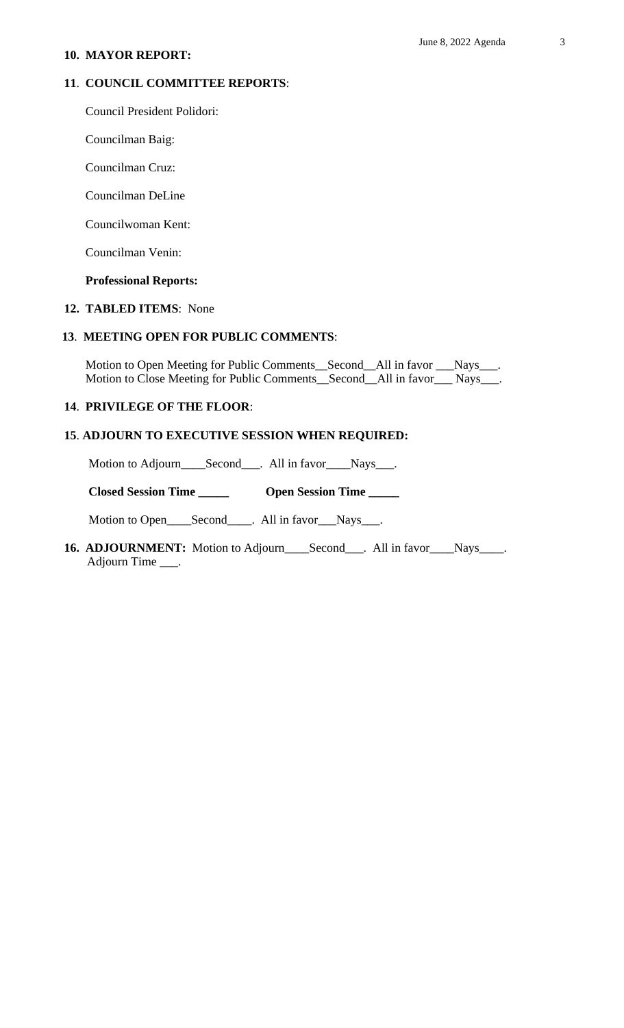#### **10. MAYOR REPORT:**

### **11**. **COUNCIL COMMITTEE REPORTS**:

Council President Polidori:

Councilman Baig:

Councilman Cruz:

Councilman DeLine

Councilwoman Kent:

Councilman Venin:

### **Professional Reports:**

#### **12. TABLED ITEMS**: None

# **13**. **MEETING OPEN FOR PUBLIC COMMENTS**:

 Motion to Open Meeting for Public Comments\_\_Second\_\_All in favor \_\_\_Nays\_\_\_. Motion to Close Meeting for Public Comments\_\_Second\_\_All in favor\_\_\_ Nays\_\_\_.

### **14**. **PRIVILEGE OF THE FLOOR**:

### **15**. **ADJOURN TO EXECUTIVE SESSION WHEN REQUIRED:**

Motion to Adjourn\_\_\_\_Second\_\_\_. All in favor\_\_\_Nays\_\_\_.

 **Closed Session Time \_\_\_\_\_ Open Session Time \_\_\_\_\_**

Motion to Open\_\_\_\_Second\_\_\_\_. All in favor\_\_\_Nays\_\_\_.

16. **ADJOURNMENT:** Motion to Adjourn\_\_\_\_Second\_\_\_. All in favor\_\_\_\_Nays\_\_\_\_. Adjourn Time \_\_\_.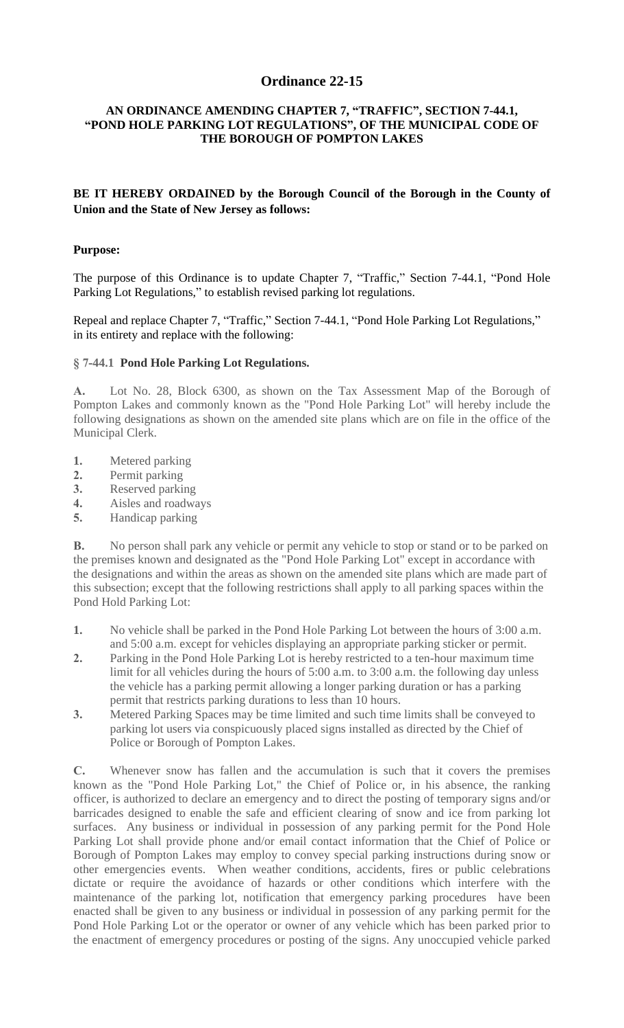# **Purpose:**

The purpose of this Ordinance is to update Chapter 7, "Traffic," Section 7-44.1, "Pond Hole Parking Lot Regulations," to establish revised parking lot regulations.

Repeal and replace Chapter 7, "Traffic," Section 7-44.1, "Pond Hole Parking Lot Regulations," in its entirety and replace with the following:

# **§ 7-44.1 Pond Hole Parking Lot Regulations.**

**A.** Lot No. 28, Block 6300, as shown on the Tax Assessment Map of the Borough of Pompton Lakes and commonly known as the "Pond Hole Parking Lot" will hereby include the following designations as shown on the amended site plans which are on file in the office of the Municipal Clerk.

- **1.** Metered parking
- **2.** Permit parking
- **3.** Reserved parking
- **4.** Aisles and roadways
- **5.** Handicap parking

**B.** No person shall park any vehicle or permit any vehicle to stop or stand or to be parked on the premises known and designated as the "Pond Hole Parking Lot" except in accordance with the designations and within the areas as shown on the amended site plans which are made part of [this subsection; except that the following restrict](https://ecode360.com/36150227#36150227)ions shall apply to all parking spaces within the [Pon](https://ecode360.com/36150228#36150228)d Hold Parking Lot:

- **1.** No vehicle shall be parked in the Pond Hole Parking Lot between the hours of 3:00 a.m. and 5:00 a.m. except for vehicles displaying an appropriate parking sticker or permit.
- **2.** Parking in the Pond Hole Parking Lot is hereby restricted to a ten-hour maximum time limit for all vehicles during the hours of 5:00 a.m. to 3:00 a.m. the following day unless the vehicle has a parking permit allowing a longer parking duration or has a parking permit that restricts parking durations to less than 10 hours.
- **[3.](https://ecode360.com/36150231#36150231)** Metered Parking Spaces may be time limited and such time limits shall be conveyed to parking lot users via conspicuously placed signs installed as directed by the Chief of Police or Borough of Pompton Lakes.

**[C.](https://ecode360.com/36150234#36150234)** Whenever snow has fallen and the accumulation is such that it covers the premises known as the "Pond Hole Parking Lot," the Chief of Police or, in his absence, the ranking officer, is authorized to declare an emergency and to direct the posting of temporary signs and/or barricades designed to enable the safe and efficient clearing of snow and ice from parking lot surfaces. Any business or individual in possession of any parking permit for the Pond Hole Parking Lot shall provide phone and/or email contact information that the Chief of Police or [Bo](https://ecode360.com/36150235#36150235)rough of Pompton Lakes may employ to convey special parking instructions during snow or other emergencies events. When weather conditions, accidents, fires or public celebrations [dic](https://ecode360.com/36150236#36150236)tate or require the avoidance of hazards or other conditions which interfere with the maintenance of the parking lot, notification that emergency parking procedures have been enacted shall be given to any business or individual in possession of any parking permit for the Pond Hole Parking Lot or the operator or owner of any vehicle which has been parked prior to [the](https://ecode360.com/36150237#36150237) enactment of emergency procedures or posting of the signs. Any unoccupied vehicle parked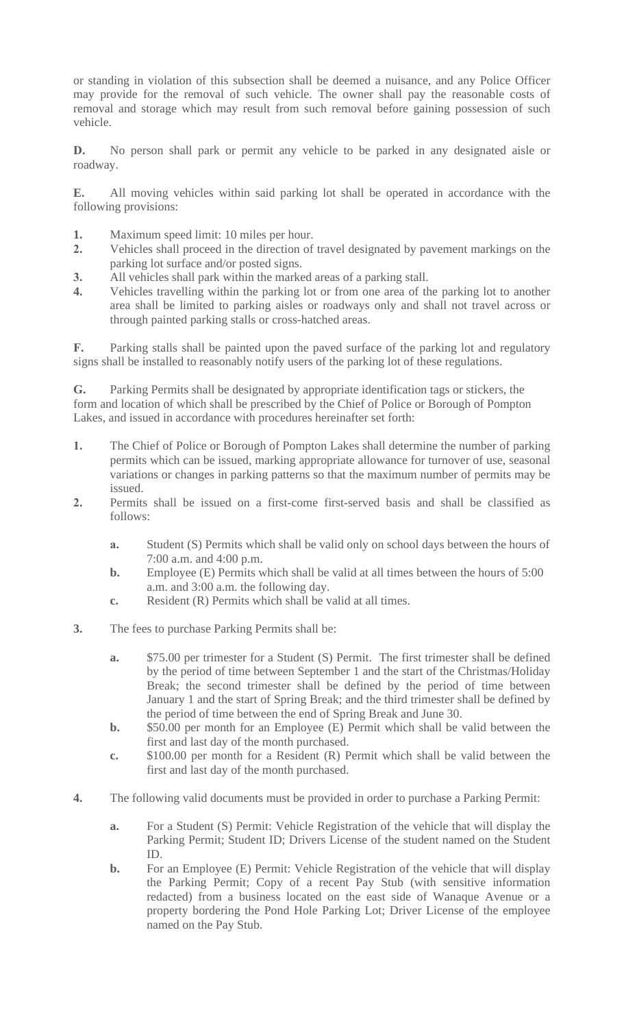- **1.** Maximum speed limit: 10 miles per hour.
- **2.** Vehicles shall proceed in the direction of travel designated by pavement markings on the parking lot surface and/or posted signs.
- **3.** All vehicles shall park within the marked areas of a parking stall.
- **4.** Vehicles travelling within the parking lot or from one area of the parking lot to another area shall be limited to parking aisles or roadways only and shall not travel across or through painted parking stalls or cross-hatched areas.

**F.** Parking stalls shall be painted upon the paved surface of the parking lot and regulatory [sign](https://ecode360.com/36150239#36150239)s shall be installed to reasonably notify users of the parking lot of these regulations.

**G.** Parking Permits shall be designated by appropriate identification tags or stickers, the form and location of which shall be prescribed by the Chief of Police or Borough of Pompton [La](https://ecode360.com/36150240#36150240)kes, and issued in accordance with procedures hereinafter set forth:

- **[1.](https://ecode360.com/36150241#36150241)** The Chief of Police or Borough of Pompton Lakes shall determine the number of parking permits which can be issued, marking appropriate allowance for turnover of use, seasonal variations or changes in parking patterns so that the maximum number of permits may be issued.
- **[2.](https://ecode360.com/36150243#36150243)** Permits shall be issued on a first-come first-served basis and shall be classified as follows:
	- **a.** Student (S) Permits which shall be valid only on school days between the hours of 7:00 a.m. and 4:00 p.m.
	- **b.** Employee (E) Permits which shall be valid at all times between the hours of 5:00 a.m. and 3:00 a.m. the following day.
	- **c.** Resident (R) Permits which shall be valid at all times.
- **3.** The fees to purchase Parking Permits shall be:
	- **a.** \$75.00 per trimester for a Student (S) Permit. The first trimester shall be defined by the period of time between September 1 and the start of the Christmas/Holiday Break; the second trimester shall be defined by the period of time between January 1 and the start of Spring Break; and the third trimester shall be defined by the period of time between the end of Spring Break and June 30.
	- **b.** \$50.00 per month for an Employee (E) Permit which shall be valid between the first and last day of the month purchased.
	- **[c.](https://ecode360.com/36150249#36150249)** \$100.00 per month for a Resident (R) Permit which shall be valid between the first and last day of the month purchased.
- **4.** The following valid documents must be provided in order to purchase a Parking Permit:
	- **a.** For a Student (S) Permit: Vehicle Registration of the vehicle that will display the Parking Permit; Student ID; Drivers License of the student named on the Student ID.
	- **b.** For an Employee (E) Permit: Vehicle Registration of the vehicle that will display the Parking Permit; Copy of a recent Pay Stub (with sensitive information redacted) from a business located on the east side of Wanaque Avenue or a property bordering the Pond Hole Parking Lot; Driver License of the employee named on the Pay Stub.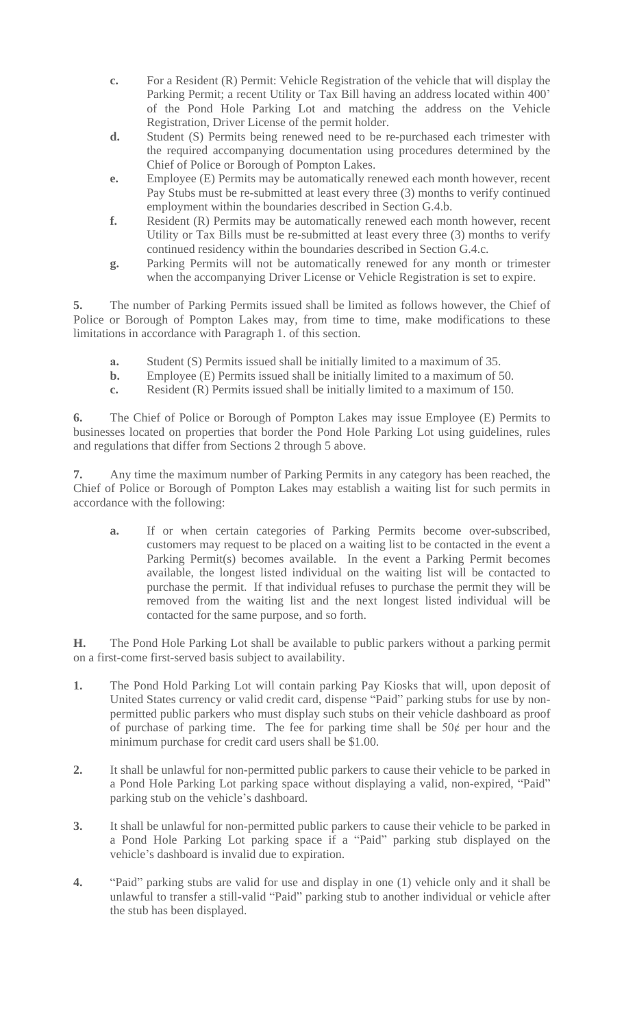- **f.** Resident (R) Permits may be automatically renewed each month however, recent Utility or Tax Bills must be re-submitted at least every three (3) months to verify continued residency within the boundaries described in Section G.4.c.
- **g.** Parking Permits will not be automatically renewed for any month or trimester when the accompanying Driver License or Vehicle Registration is set to expire.

**5.** The number of Parking Permits issued shall be limited as follows however, the Chief of Police or Borough of Pompton Lakes may, from time to time, make modifications to these limitations in accordance with Paragraph 1. of this section.

- **a.** Student (S) Permits issued shall be initially limited to a maximum of 35.
- **b.** Employee (E) Permits issued shall be initially limited to a maximum of 50.
- **c.** Resident (R) Permits issued shall be initially limited to a maximum of 150.

**6.** The Chief of Police or Borough of Pompton Lakes may issue Employee (E) Permits to businesses located on properties that border the Pond Hole Parking Lot using guidelines, rules and regulations that differ from Sections 2 through 5 above.

**7.** Any time the maximum number of Parking Permits in any category has been reached, the Chief of Police or Borough of Pompton Lakes may establish a waiting list for such permits in accordance with the following:

**a.** If or when certain categories of Parking Permits become over-subscribed, customers may request to be placed on a waiting list to be contacted in the event a Parking Permit(s) becomes available. In the event a Parking Permit becomes available, the longest listed individual on the waiting list will be contacted to purchase the permit. If that individual refuses to purchase the permit they will be removed from the waiting list and the next longest listed individual will be contacted for the same purpose, and so forth.

**H.** The Pond Hole Parking Lot shall be available to public parkers without a parking permit on a first-come first-served basis subject to availability.

- **1.** The Pond Hold Parking Lot will contain parking Pay Kiosks that will, upon deposit of United States currency or valid credit card, dispense "Paid" parking stubs for use by nonpermitted public parkers who must display such stubs on their vehicle dashboard as proof of purchase of parking time. The fee for parking time shall be  $50¢$  per hour and the minimum purchase for credit card users shall be \$1.00.
- **2.** It shall be unlawful for non-permitted public parkers to cause their vehicle to be parked in a Pond Hole Parking Lot parking space without displaying a valid, non-expired, "Paid" parking stub on the vehicle's dashboard.
- **3.** It shall be unlawful for non-permitted public parkers to cause their vehicle to be parked in a Pond Hole Parking Lot parking space if a "Paid" parking stub displayed on the vehicle's dashboard is invalid due to expiration.
- **4.** "Paid" parking stubs are valid for use and display in one (1) vehicle only and it shall be unlawful to transfer a still-valid "Paid" parking stub to another individual or vehicle after the stub has been displayed.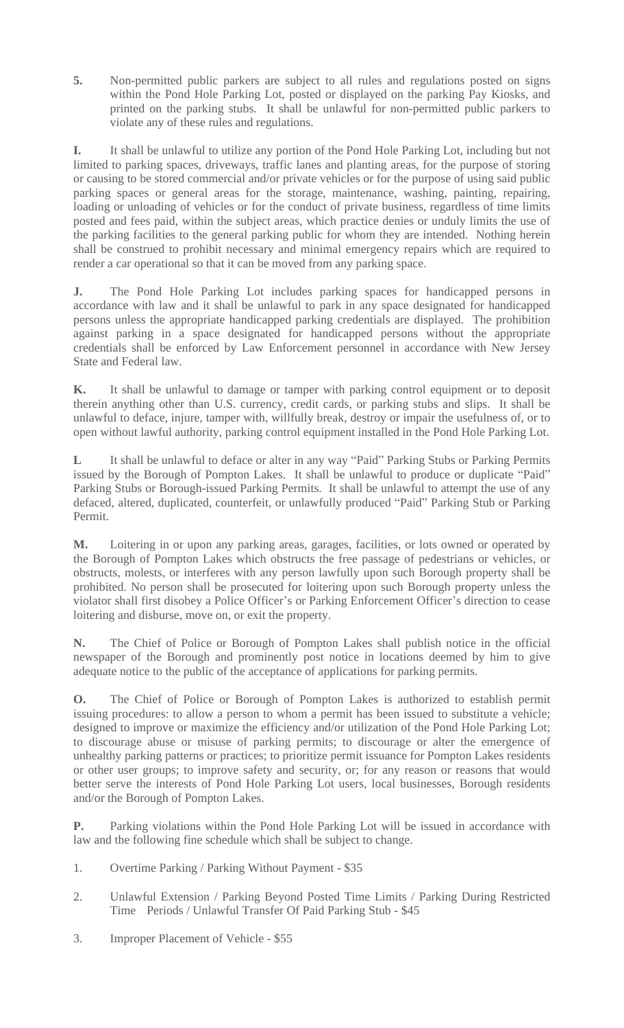**5.** Non-permitted public parkers are subject to all rules and regulations posted on signs within the Pond Hole Parking Lot, posted or displayed on the parking Pay Kiosks, and printed on the parking stubs. It shall be unlawful for non-permitted public parkers to violate any of these rules and regulations.

**I.** It shall be unlawful to utilize any portion of the Pond Hole Parking Lot, including but not limited to parking spaces, driveways, traffic lanes and planting areas, for the purpose of storing or causing to be stored commercial and/or private vehicles or for the purpose of using said public parking spaces or general areas for the storage, maintenance, washing, painting, repairing, loading or unloading of vehicles or for the conduct of private business, regardless of time limits posted and fees paid, within the subject areas, which practice denies or unduly limits the use of the parking facilities to the general parking public for whom they are intended. Nothing herein shall be construed to prohibit necessary and minimal emergency repairs which are required to render a car operational so that it can be moved from any parking space.

**J.** The Pond Hole Parking Lot includes parking spaces for handicapped persons in accordance with law and it shall be unlawful to park in any space designated for handicapped persons unless the appropriate handicapped parking credentials are displayed. The prohibition against parking in a space designated for handicapped persons without the appropriate credentials shall be enforced by Law Enforcement personnel in accordance with New Jersey State and Federal law.

**K.** It shall be unlawful to damage or tamper with parking control equipment or to deposit therein anything other than U.S. currency, credit cards, or parking stubs and slips. It shall be unlawful to deface, injure, tamper with, willfully break, destroy or impair the usefulness of, or to open without lawful authority, parking control equipment installed in the Pond Hole Parking Lot.

**L** It shall be unlawful to deface or alter in any way "Paid" Parking Stubs or Parking Permits issued by the Borough of Pompton Lakes. It shall be unlawful to produce or duplicate "Paid" Parking Stubs or Borough-issued Parking Permits. It shall be unlawful to attempt the use of any defaced, altered, duplicated, counterfeit, or unlawfully produced "Paid" Parking Stub or Parking Permit.

**M.** Loitering in or upon any parking areas, garages, facilities, or lots owned or operated by the Borough of Pompton Lakes which obstructs the free passage of pedestrians or vehicles, or obstructs, molests, or interferes with any person lawfully upon such Borough property shall be prohibited. No person shall be prosecuted for loitering upon such Borough property unless the violator shall first disobey a Police Officer's or Parking Enforcement Officer's direction to cease loitering and disburse, move on, or exit the property.

**N.** The Chief of Police or Borough of Pompton Lakes shall publish notice in the official newspaper of the Borough and prominently post notice in locations deemed by him to give adequate notice to the public of the acceptance of applications for parking permits.

**O.** The Chief of Police or Borough of Pompton Lakes is authorized to establish permit issuing procedures: to allow a person to whom a permit has been issued to substitute a vehicle; designed to improve or maximize the efficiency and/or utilization of the Pond Hole Parking Lot; to discourage abuse or misuse of parking permits; to discourage or alter the emergence of unhealthy parking patterns or practices; to prioritize permit issuance for Pompton Lakes residents or other user groups; to improve safety and security, or; for any reason or reasons that would better serve the interests of Pond Hole Parking Lot users, local businesses, Borough residents and/or the Borough of Pompton Lakes.

**P.** Parking violations within the Pond Hole Parking Lot will be issued in accordance with law and the following fine schedule which shall be subject to change.

- 1. Overtime Parking / Parking Without Payment \$35
- 2. Unlawful Extension / Parking Beyond Posted Time Limits / Parking During Restricted Time Periods / Unlawful Transfer Of Paid Parking Stub - \$45
- 3. Improper Placement of Vehicle \$55